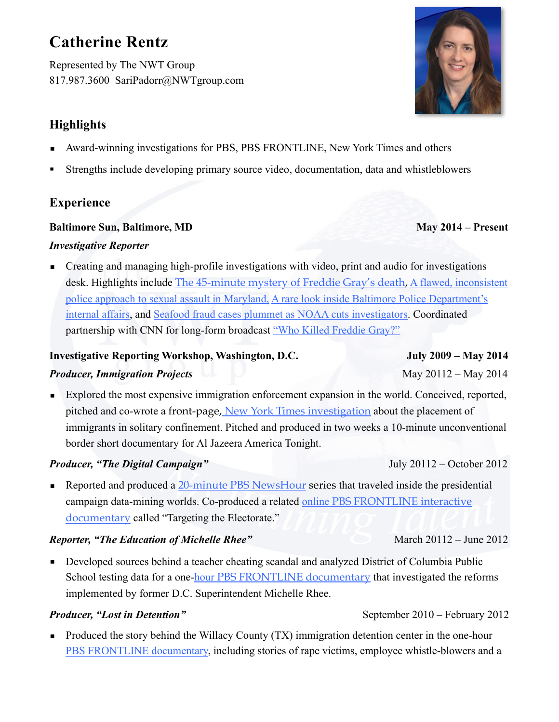# **Catherine Rentz**

Represented by The NWT Group 817.987.3600 SariPadorr@NWTgroup.com

# **Highlights**

- Award-winning investigations for PBS, PBS FRONTLINE, New York Times and others
- Strengths include developing primary source video, documentation, data and whistleblowers

# **Experience**

#### **Baltimore Sun, Baltimore, MD May 2014 – Present**

#### *Investigative Reporter*

■ Creating and managing high-profile investigations with video, print and audio for investigations desk. Highlights include [The 45-minute mystery of Freddie Gray's death,](http://data.baltimoresun.com/freddie-gray/) [A flawed, inconsistent](http://www.baltimoresun.com/news/maryland/investigations/bs-md-rape-investigations-20161203-story.html)  [police approach to sexual assault in Maryland,](http://www.baltimoresun.com/news/maryland/investigations/bs-md-rape-investigations-20161203-story.html) [A rare look inside Baltimore Police Department's](http://www.baltimoresun.com/news/maryland/investigations/bs-md-police-misconduct-20160806-story.html)  [internal affairs](http://www.baltimoresun.com/news/maryland/investigations/bs-md-police-misconduct-20160806-story.html), and [Seafood fraud cases plummet as NOAA cuts investigators.](http://www.baltimoresun.com/news/maryland/bs-md-fish-cops-20141206-story.html) Coordinated partnership with CNN for long-form broadcast ["Who Killed Freddie Gray?"](http://www.cnn.com/videos/tv/2016/01/19/exp-who-killed-freddie-gray-open.cnn)

#### **Investigative Reporting Workshop, Washington, D.C. July 2009 – May 2014**

#### **Producer, Immigration Projects** May 20112 – May 2014

Explored the most expensive immigration enforcement expansion in the world. Conceived, reported, pitched and co-wrote a [front-page, New York Times investigation](http://www.nytimes.com/2013/03/24/us/immigrants-held-in-solitary-cells-often-for-weeks.html?pagewanted=all) about the placement of immigrants in solitary confinement. Pitched and produced in two weeks a 10-minute unconventional border short documentary for Al Jazeera America Tonight.

#### *Producer, "The Digital Campaign"* July 20112 – October 2012

■ Reported and produced a [20-minute PBS NewsHour series](http://video.pbs.org/video/2295038658/) that traveled inside the presidential campaign data-mining worlds. Co-produced a related online [PBS FRONTLINE interactive](http://www.pbs.org/wgbh/pages/frontline/campaign-targeting/)  [documentary](http://www.pbs.org/wgbh/pages/frontline/campaign-targeting/) called "Targeting the Electorate."

#### *Reporter, "The Education of Michelle Rhee"* March 20112 – June 2012

■ Developed sources behind a teacher cheating scandal and analyzed District of Columbia Public School testing data for a one-hour [PBS FRONTLINE documentary](http://www.pbs.org/wgbh/pages/frontline/education-of-michelle-rhee/) that investigated the reforms implemented by former D.C. Superintendent Michelle Rhee.

#### **Producer, "Lost in Detention"** September 2010 – February 2012

■ Produced the story behind the Willacy County (TX) immigration detention center in the one-hour [PBS FRONTLINE documentary,](http://www.pbs.org/wgbh/pages/frontline/lost-in-detention/) including stories of rape victims, employee whistle-blowers and a

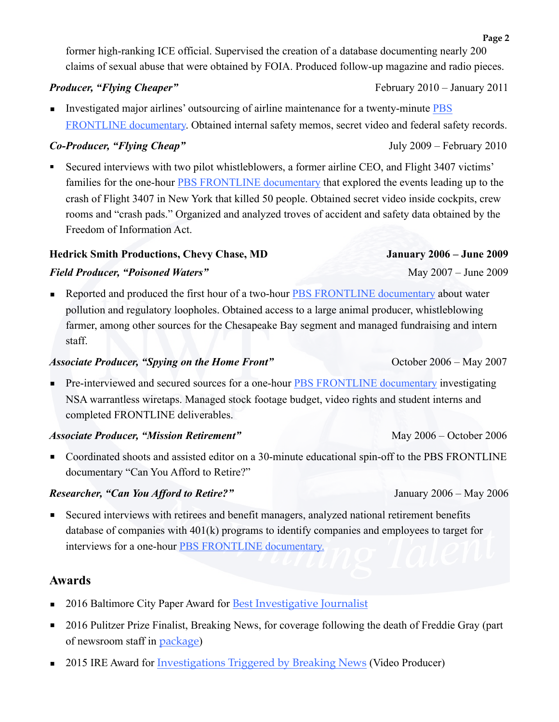former high-ranking ICE official. Supervised the creation of a database documenting nearly 200 claims of sexual abuse that were obtained by FOIA. Produced follow-up magazine and radio pieces.

#### **Producer, "Flying Cheaper"**  $F_{\text{eff}}$  February 2010 – January 2011

■ Investigated major airlines' outsourcing of airline maintenance for a twenty-minute PBS [FRONTLINE documentary.](http://www.pbs.org/wgbh/pages/frontline/flying-cheaper/) Obtained internal safety memos, secret video and federal safety records.

### *Co-Producer, "Flying Cheap"* July 2009 – February 2010

Secured interviews with two pilot whistleblowers, a former airline CEO, and Flight 3407 victims' families for the one-hour [PBS FRONTLINE documentary](http://www.pbs.org/wgbh/pages/frontline/flyingcheap/view/) that explored the events leading up to the crash of Flight 3407 in New York that killed 50 people. Obtained secret video inside cockpits, crew rooms and "crash pads." Organized and analyzed troves of accident and safety data obtained by the Freedom of Information Act.

### **Hedrick Smith Productions, Chevy Chase, MD January 2006 – June 2009**

### *Field Producer, "Poisoned Waters"* May 2007 – June 2009

■ Reported and produced the first hour of a two-hour [PBS FRONTLINE documentary](http://www.pbs.org/wgbh/pages/frontline/poisonedwaters/view/) about water pollution and regulatory loopholes. Obtained access to a large animal producer, whistleblowing farmer, among other sources for the Chesapeake Bay segment and managed fundraising and intern staff.

#### *Associate Producer, "Spying on the Home Front"* October 2006 – May 2007

■ Pre-interviewed and secured sources for a one-hour [PBS FRONTLINE documentary](http://www.pbs.org/wgbh/pages/frontline/homefront/) investigating NSA warrantless wiretaps. Managed stock footage budget, video rights and student interns and completed FRONTLINE deliverables.

### *Associate Producer, "Mission Retirement"* May 2006 – October 2006

■ Coordinated shoots and assisted editor on a 30-minute educational spin-off to the PBS FRONTLINE documentary "Can You Afford to Retire?"

### *Researcher, "Can You Afford to Retire?"* January 2006 – May 2006

■ Secured interviews with retirees and benefit managers, analyzed national retirement benefits database of companies with 401(k) programs to identify companies and employees to target for interviews for a one-hour [PBS FRONTLINE documentary.](http://www.pbs.org/wgbh/pages/frontline/retirement/view/)

## **Awards**

- 2016 Baltimore City Paper Award for [Best Investigative Journalist](http://www.citypaper.com/bob/2016/bcpnews-best-investigative-journalist-catherine-rentz-baltimore-sun-20160913-story.html)
- 2016 Pulitzer Prize Finalist, Breaking News, for coverage following the death of Freddie Gray (part of newsroom staff in [package](http://www.pulitzer.org/finalists/baltimore-sun-staff))
- 2015 IRE Award for [Investigations Triggered by Breaking News](http://ire.org/awards/ire-awards/winners/2015-ire-award-winners/#.WKWsPxIrJp-) (Video Producer)